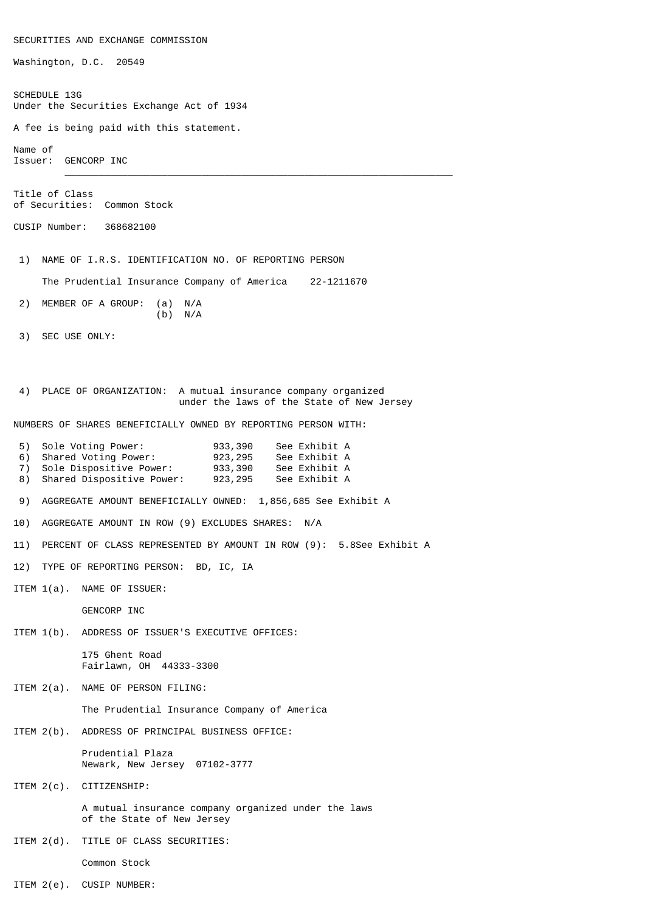SECURITIES AND EXCHANGE COMMISSION Washington, D.C. 20549 SCHEDULE 13G Under the Securities Exchange Act of 1934 A fee is being paid with this statement. Name of Issuer: GENCORP INC  $\frac{1}{2}$  ,  $\frac{1}{2}$  ,  $\frac{1}{2}$  ,  $\frac{1}{2}$  ,  $\frac{1}{2}$  ,  $\frac{1}{2}$  ,  $\frac{1}{2}$  ,  $\frac{1}{2}$  ,  $\frac{1}{2}$  ,  $\frac{1}{2}$  ,  $\frac{1}{2}$  ,  $\frac{1}{2}$  ,  $\frac{1}{2}$  ,  $\frac{1}{2}$  ,  $\frac{1}{2}$  ,  $\frac{1}{2}$  ,  $\frac{1}{2}$  ,  $\frac{1}{2}$  ,  $\frac{1$ Title of Class of Securities: Common Stock CUSIP Number: 368682100 1) NAME OF I.R.S. IDENTIFICATION NO. OF REPORTING PERSON The Prudential Insurance Company of America 22-1211670 2) MEMBER OF A GROUP: (a) N/A  $(b)$  N/A 3) SEC USE ONLY: 4) PLACE OF ORGANIZATION: A mutual insurance company organized under the laws of the State of New Jersey NUMBERS OF SHARES BENEFICIALLY OWNED BY REPORTING PERSON WITH: 5) Sole Voting Power: 933,390 See Exhibit A<br>6) Shared Voting Power: 923,295 See Exhibit A 6) Shared Voting Power: 923,295 See Exhibit A<br>7) Sole Dispositive Power: 933,390 See Exhibit A Sole Dispositive Power: 8) Shared Dispositive Power: 923,295 See Exhibit A 9) AGGREGATE AMOUNT BENEFICIALLY OWNED: 1,856,685 See Exhibit A 10) AGGREGATE AMOUNT IN ROW (9) EXCLUDES SHARES: N/A 11) PERCENT OF CLASS REPRESENTED BY AMOUNT IN ROW (9): 5.8See Exhibit A 12) TYPE OF REPORTING PERSON: BD, IC, IA ITEM 1(a). NAME OF ISSUER: GENCORP INC ITEM 1(b). ADDRESS OF ISSUER'S EXECUTIVE OFFICES: 175 Ghent Road Fairlawn, OH 44333-3300 ITEM 2(a). NAME OF PERSON FILING: The Prudential Insurance Company of America ITEM 2(b). ADDRESS OF PRINCIPAL BUSINESS OFFICE: Prudential Plaza Newark, New Jersey 07102-3777 ITEM 2(c). CITIZENSHIP: A mutual insurance company organized under the laws of the State of New Jersey ITEM 2(d). TITLE OF CLASS SECURITIES: Common Stock

ITEM 2(e). CUSIP NUMBER: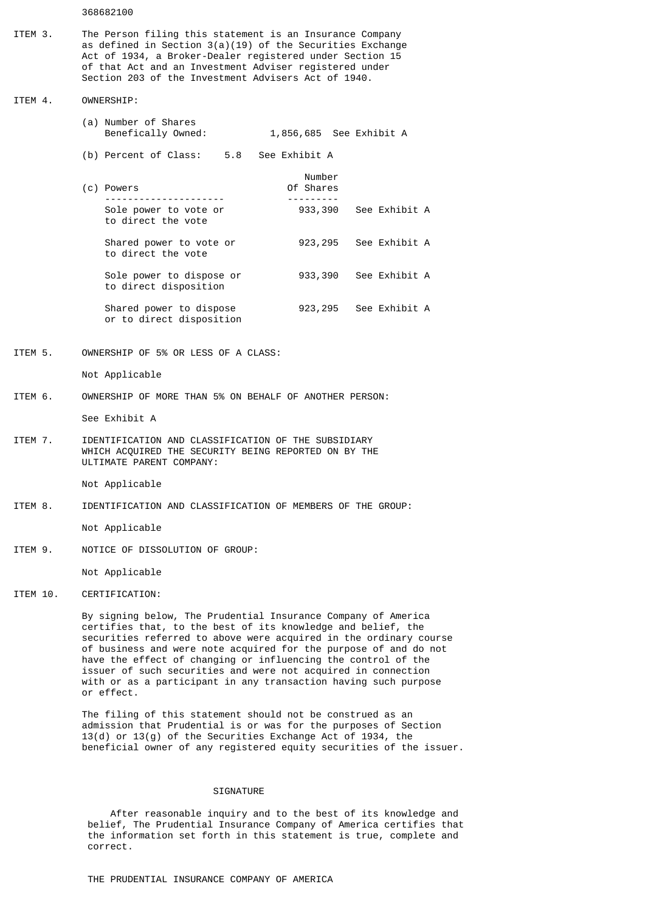368682100

ITEM 3. The Person filing this statement is an Insurance Company as defined in Section 3(a)(19) of the Securities Exchange Act of 1934, a Broker-Dealer registered under Section 15 of that Act and an Investment Adviser registered under Section 203 of the Investment Advisers Act of 1940.

ITEM 4. OWNERSHIP:

- (a) Number of Shares Benefically Owned: 1,856,685 See Exhibit A
- (b) Percent of Class: 5.8 See Exhibit A
- Number (c) Powers Of Shares ---------------------<br>Sole power to vote or  $933.396$ 933,390 See Exhibit A to direct the vote

Shared power to vote or 923,295 See Exhibit A to direct the vote Sole power to dispose or 933,390 See Exhibit A to direct disposition

Shared power to dispose 923,295 See Exhibit A or to direct disposition

ITEM 5. OWNERSHIP OF 5% OR LESS OF A CLASS:

Not Applicable

ITEM 6. OWNERSHIP OF MORE THAN 5% ON BEHALF OF ANOTHER PERSON:

See Exhibit A

ITEM 7. IDENTIFICATION AND CLASSIFICATION OF THE SUBSIDIARY WHICH ACQUIRED THE SECURITY BEING REPORTED ON BY THE ULTIMATE PARENT COMPANY:

Not Applicable

ITEM 8. IDENTIFICATION AND CLASSIFICATION OF MEMBERS OF THE GROUP:

Not Applicable

ITEM 9. NOTICE OF DISSOLUTION OF GROUP:

Not Applicable

## ITEM 10. CERTIFICATION:

 By signing below, The Prudential Insurance Company of America certifies that, to the best of its knowledge and belief, the securities referred to above were acquired in the ordinary course of business and were note acquired for the purpose of and do not have the effect of changing or influencing the control of the issuer of such securities and were not acquired in connection with or as a participant in any transaction having such purpose or effect.

 The filing of this statement should not be construed as an admission that Prudential is or was for the purposes of Section 13(d) or 13(g) of the Securities Exchange Act of 1934, the beneficial owner of any registered equity securities of the issuer.

## **STGNATURE**

 After reasonable inquiry and to the best of its knowledge and belief, The Prudential Insurance Company of America certifies that the information set forth in this statement is true, complete and correct.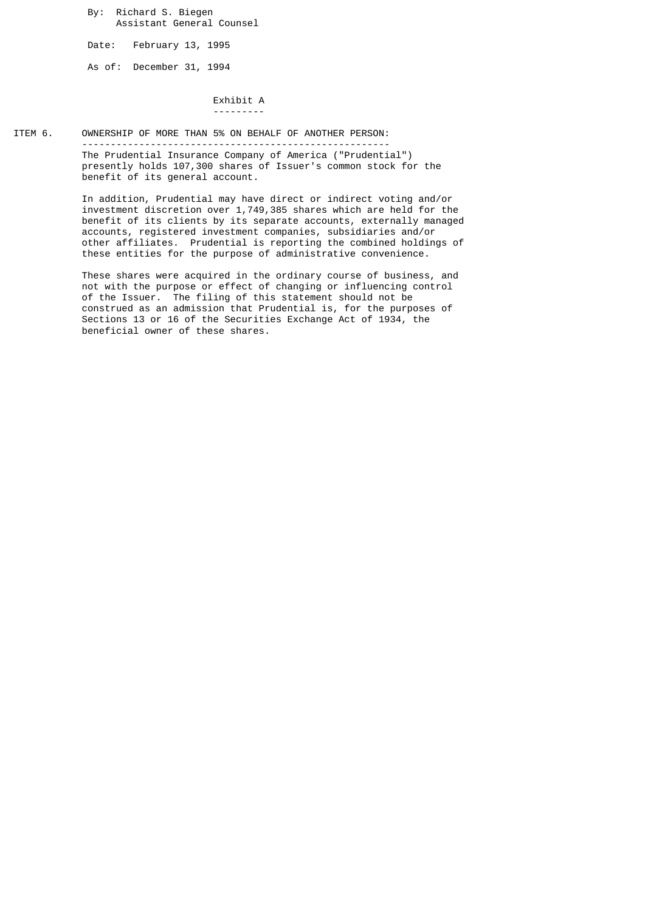By: Richard S. Biegen Assistant General Counsel

Date: February 13, 1995

As of: December 31, 1994

 Exhibit A ---------

ITEM 6. OWNERSHIP OF MORE THAN 5% ON BEHALF OF ANOTHER PERSON:

 ------------------------------------------------------ The Prudential Insurance Company of America ("Prudential") presently holds 107,300 shares of Issuer's common stock for the benefit of its general account.

 In addition, Prudential may have direct or indirect voting and/or investment discretion over 1,749,385 shares which are held for the benefit of its clients by its separate accounts, externally managed accounts, registered investment companies, subsidiaries and/or other affiliates. Prudential is reporting the combined holdings of these entities for the purpose of administrative convenience.

 These shares were acquired in the ordinary course of business, and not with the purpose or effect of changing or influencing control of the Issuer. The filing of this statement should not be construed as an admission that Prudential is, for the purposes of Sections 13 or 16 of the Securities Exchange Act of 1934, the beneficial owner of these shares.